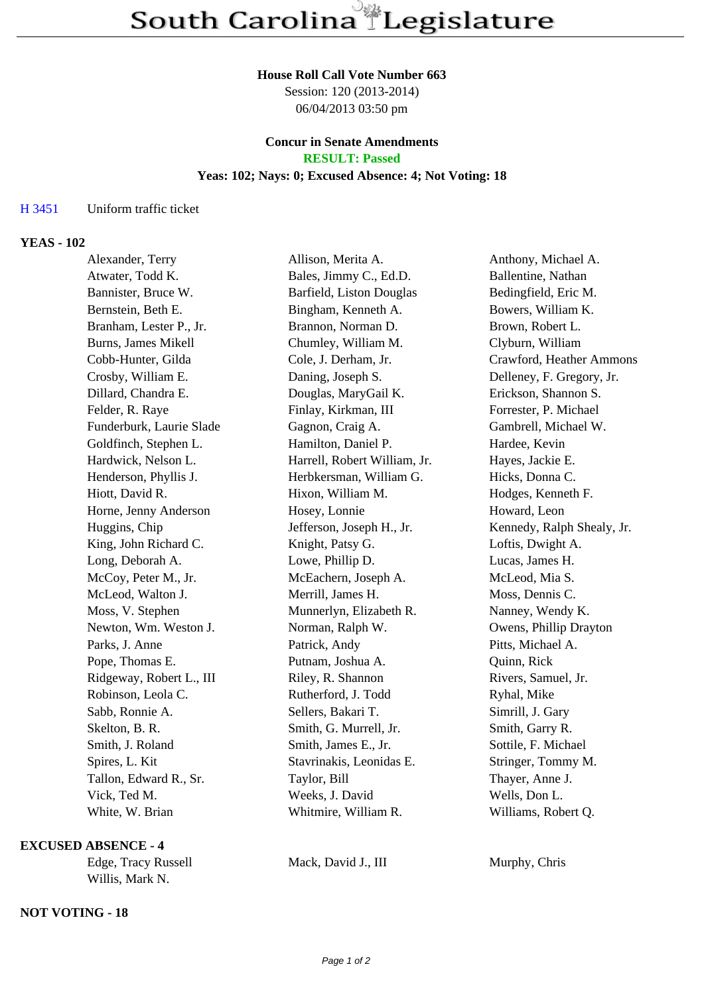#### **House Roll Call Vote Number 663**

Session: 120 (2013-2014) 06/04/2013 03:50 pm

### **Concur in Senate Amendments RESULT: Passed**

# **Yeas: 102; Nays: 0; Excused Absence: 4; Not Voting: 18**

# H 3451 Uniform traffic ticket

# **YEAS - 102**

| Alexander, Terry         | Allison, Merita A.           | Anthony, Michael A.        |
|--------------------------|------------------------------|----------------------------|
| Atwater, Todd K.         | Bales, Jimmy C., Ed.D.       | Ballentine, Nathan         |
| Bannister, Bruce W.      | Barfield, Liston Douglas     | Bedingfield, Eric M.       |
| Bernstein, Beth E.       | Bingham, Kenneth A.          | Bowers, William K.         |
| Branham, Lester P., Jr.  | Brannon, Norman D.           | Brown, Robert L.           |
| Burns, James Mikell      | Chumley, William M.          | Clyburn, William           |
| Cobb-Hunter, Gilda       | Cole, J. Derham, Jr.         | Crawford, Heather Ammons   |
| Crosby, William E.       | Daning, Joseph S.            | Delleney, F. Gregory, Jr.  |
| Dillard, Chandra E.      | Douglas, MaryGail K.         | Erickson, Shannon S.       |
| Felder, R. Raye          | Finlay, Kirkman, III         | Forrester, P. Michael      |
| Funderburk, Laurie Slade | Gagnon, Craig A.             | Gambrell, Michael W.       |
| Goldfinch, Stephen L.    | Hamilton, Daniel P.          | Hardee, Kevin              |
| Hardwick, Nelson L.      | Harrell, Robert William, Jr. | Hayes, Jackie E.           |
| Henderson, Phyllis J.    | Herbkersman, William G.      | Hicks, Donna C.            |
| Hiott, David R.          | Hixon, William M.            | Hodges, Kenneth F.         |
| Horne, Jenny Anderson    | Hosey, Lonnie                | Howard, Leon               |
| Huggins, Chip            | Jefferson, Joseph H., Jr.    | Kennedy, Ralph Shealy, Jr. |
| King, John Richard C.    | Knight, Patsy G.             | Loftis, Dwight A.          |
| Long, Deborah A.         | Lowe, Phillip D.             | Lucas, James H.            |
| McCoy, Peter M., Jr.     | McEachern, Joseph A.         | McLeod, Mia S.             |
| McLeod, Walton J.        | Merrill, James H.            | Moss, Dennis C.            |
| Moss, V. Stephen         | Munnerlyn, Elizabeth R.      | Nanney, Wendy K.           |
| Newton, Wm. Weston J.    | Norman, Ralph W.             | Owens, Phillip Drayton     |
| Parks, J. Anne           | Patrick, Andy                | Pitts, Michael A.          |
| Pope, Thomas E.          | Putnam, Joshua A.            | Quinn, Rick                |
| Ridgeway, Robert L., III | Riley, R. Shannon            | Rivers, Samuel, Jr.        |
| Robinson, Leola C.       | Rutherford, J. Todd          | Ryhal, Mike                |
| Sabb, Ronnie A.          | Sellers, Bakari T.           | Simrill, J. Gary           |
| Skelton, B. R.           | Smith, G. Murrell, Jr.       | Smith, Garry R.            |
| Smith, J. Roland         | Smith, James E., Jr.         | Sottile, F. Michael        |
| Spires, L. Kit           | Stavrinakis, Leonidas E.     | Stringer, Tommy M.         |
| Tallon, Edward R., Sr.   | Taylor, Bill                 | Thayer, Anne J.            |
| Vick, Ted M.             | Weeks, J. David              | Wells, Don L.              |
| White, W. Brian          | Whitmire, William R.         | Williams, Robert Q.        |

## **EXCUSED ABSENCE - 4**

Willis, Mark N.

### **NOT VOTING - 18**

Edge, Tracy Russell Mack, David J., III Murphy, Chris